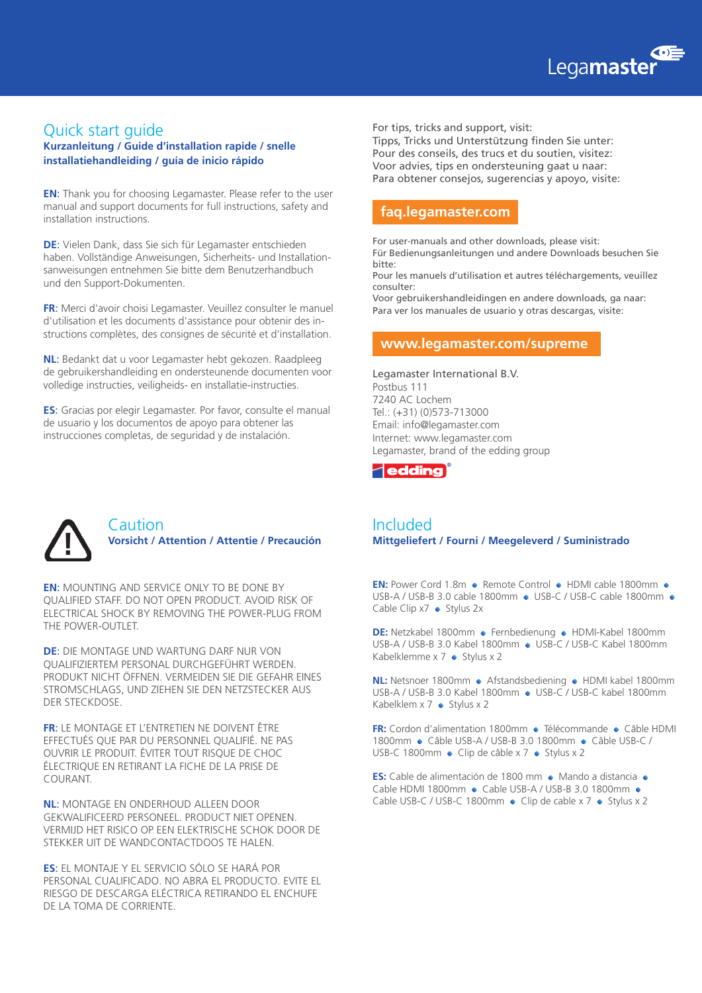

### Quick start guide

**Kurzanleitung / Guide d'installation rapide / snelle installatiehandleiding / guía de inicio rápido**

**EN**: Thank you for choosing Legamaster. Please refer to the user manual and support documents for full instructions, safety and installation instructions.

**DE**: Vielen Dank, dass Sie sich für Legamaster entschieden haben. Vollständige Anweisungen, Sicherheits- und Installationsanweisungen entnehmen Sie bitte dem Benutzerhandbuch und den Support-Dokumenten.

**FR**: Merci d'avoir choisi Legamaster. Veuillez consulter le manuel d'utilisation et les documents d'assistance pour obtenir des instructions complètes, des consignes de sécurité et d'installation.

**NL**: Bedankt dat u voor Legamaster hebt gekozen. Raadpleeg de gebruikershandleiding en ondersteunende documenten voor volledige instructies, veiligheids- en installatie-instructies.

**ES**: Gracias por elegir Legamaster. Por favor, consulte el manual de usuario y los documentos de apoyo para obtener las instrucciones completas, de seguridad y de instalación.

For tips, tricks and support, visit: Tipps, Tricks und Unterstützung finden Sie unter: Pour des conseils, des trucs et du soutien, visitez: Voor advies, tips en ondersteuning gaat u naar: Para obtener consejos, sugerencias y apoyo, visite:

## **faq.legamaster.com**

For user-manuals and other downloads, please visit:

Für Bedienungsanleitungen und andere Downloads besuchen Sie bitte:

Pour les manuels d'utilisation et autres téléchargements, veuillez consulter:

Voor gebruikershandleidingen en andere downloads, ga naar: Para ver los manuales de usuario y otras descargas, visite:

#### **www.legamaster.com/supreme**

Legamaster International B.V. Postbus 111 7240 AC Lochem Tel.: (+31) (0)573-713000 Email: info@legamaster.com Internet: www.legamaster.com Legamaster, brand of the edding group





#### Caution **Vorsicht / Attention / Attentie / Precaución**

**EN**: MOUNTING AND SERVICE ONLY TO BE DONE BY QUALIFIED STAFF. DO NOT OPEN PRODUCT. AVOID RISK OF ELECTRICAL SHOCK BY REMOVING THE POWER-PLUG FROM THE POWER-OUTLET.

**DE**: DIE MONTAGE UND WARTUNG DARF NUR VON QUALIFIZIERTEM PERSONAL DURCHGEFÜHRT WERDEN. PRODUKT NICHT ÖFFNEN. VERMEIDEN SIE DIE GEFAHR EINES STROMSCHLAGS, UND ZIEHEN SIE DEN NETZSTECKER AUS DER STECKDOSE.

**FR**: LE MONTAGE ET L'ENTRETIEN NE DOIVENT ÊTRE EFFECTUÉS QUE PAR DU PERSONNEL QUALIFIÉ. NE PAS OUVRIR LE PRODUIT. ÉVITER TOUT RISQUE DE CHOC ÉLECTRIQUE EN RETIRANT LA FICHE DE LA PRISE DE COURANT.

**NL**: MONTAGE EN ONDERHOUD ALLEEN DOOR GEKWALIFICEERD PERSONEEL. PRODUCT NIET OPENEN. VERMIJD HET RISICO OP EEN ELEKTRISCHE SCHOK DOOR DE STEKKER UIT DE WANDCONTACTDOOS TE HALEN.

**ES**: EL MONTAJE Y EL SERVICIO SÓLO SE HARÁ POR PERSONAL CUALIFICADO. NO ABRA EL PRODUCTO. EVITE EL RIESGO DE DESCARGA ELÉCTRICA RETIRANDO EL ENCHUFE DE LA TOMA DE CORRIENTE.

#### Included **Mittgeliefert / Fourni / Meegeleverd / Suministrado**

**EN:** Power Cord 1.8m • Remote Control • HDMI cable 1800mm • USB-A / USB-B 3.0 cable 1800mm ● USB-C / USB-C cable 1800mm ● Cable Clip  $x7 \leftrightarrow$  Stylus 2x

**DE:** Netzkabel 1800mm • Fernbedienung • HDMI-Kabel 1800mm USB-A / USB-B 3.0 Kabel 1800mm ● USB-C / USB-C Kabel 1800mm Kabelklemme x  $7 \bullet$  Stylus x 2

**NL:** Netsnoer 1800mm • Afstandsbediening • HDMI kabel 1800mm USB-A / USB-B 3.0 Kabel 1800mm · USB-C / USB-C kabel 1800mm Kabelklem  $x 7 \cdot$  Stylus x 2

**FR:** Cordon d'alimentation 1800mm · Télécommande · Câble HDMI 1800mm • Câble USB-A / USB-B 3.0 1800mm • Câble USB-C / USB-C 1800mm  $\bullet$  Clip de câble x 7  $\bullet$  Stylus x 2

**ES:** Cable de alimentación de 1800 mm · Mando a distancia · Cable HDMI 1800mm • Cable USB-A / USB-B 3.0 1800mm • Cable USB-C / USB-C 1800mm  $\bullet$  Clip de cable x 7  $\bullet$  Stylus x 2